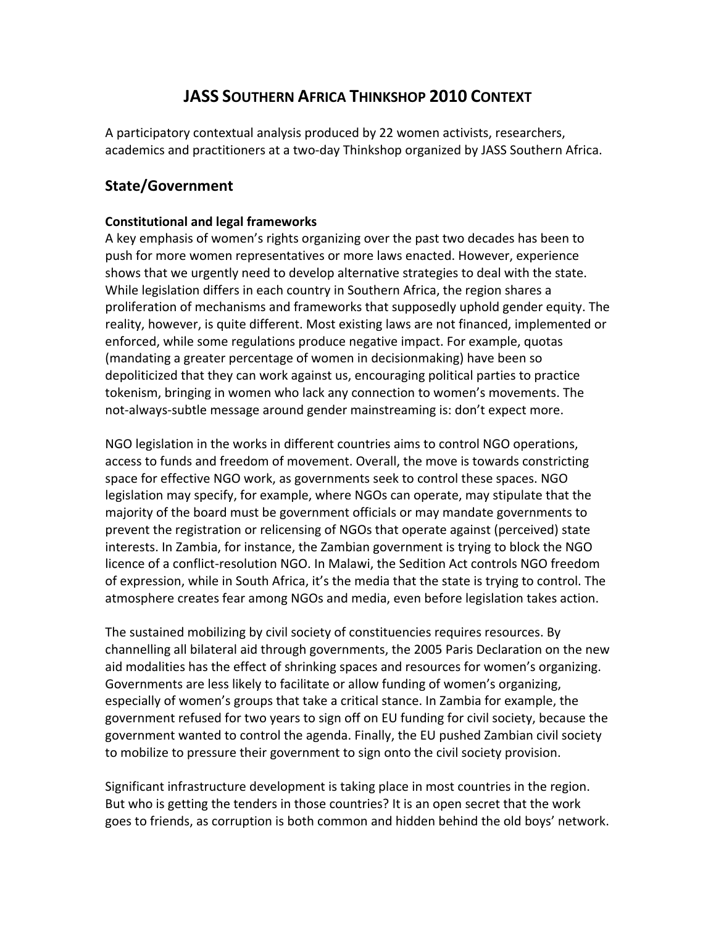# **JASS SOUTHERN AFRICA THINKSHOP 2010 CONTEXT**

A participatory contextual analysis produced by 22 women activists, researchers, academics and practitioners at a two-day Thinkshop organized by JASS Southern Africa.

## **State/Government**

#### **Constitutional and legal frameworks**

A key emphasis of women's rights organizing over the past two decades has been to push for more women representatives or more laws enacted. However, experience shows that we urgently need to develop alternative strategies to deal with the state. While legislation differs in each country in Southern Africa, the region shares a proliferation of mechanisms and frameworks that supposedly uphold gender equity. The reality, however, is quite different. Most existing laws are not financed, implemented or enforced, while some regulations produce negative impact. For example, quotas (mandating a greater percentage of women in decisionmaking) have been so depoliticized that they can work against us, encouraging political parties to practice tokenism, bringing in women who lack any connection to women's movements. The not-always-subtle message around gender mainstreaming is: don't expect more.

NGO legislation in the works in different countries aims to control NGO operations, access to funds and freedom of movement. Overall, the move is towards constricting space for effective NGO work, as governments seek to control these spaces. NGO legislation may specify, for example, where NGOs can operate, may stipulate that the majority of the board must be government officials or may mandate governments to prevent the registration or relicensing of NGOs that operate against (perceived) state interests. In Zambia, for instance, the Zambian government is trying to block the NGO licence of a conflict-resolution NGO. In Malawi, the Sedition Act controls NGO freedom of expression, while in South Africa, it's the media that the state is trying to control. The atmosphere creates fear among NGOs and media, even before legislation takes action.

The sustained mobilizing by civil society of constituencies requires resources. By channelling all bilateral aid through governments, the 2005 Paris Declaration on the new aid modalities has the effect of shrinking spaces and resources for women's organizing. Governments are less likely to facilitate or allow funding of women's organizing, especially of women's groups that take a critical stance. In Zambia for example, the government refused for two years to sign off on EU funding for civil society, because the government wanted to control the agenda. Finally, the EU pushed Zambian civil society to mobilize to pressure their government to sign onto the civil society provision.

Significant infrastructure development is taking place in most countries in the region. But who is getting the tenders in those countries? It is an open secret that the work goes to friends, as corruption is both common and hidden behind the old boys' network.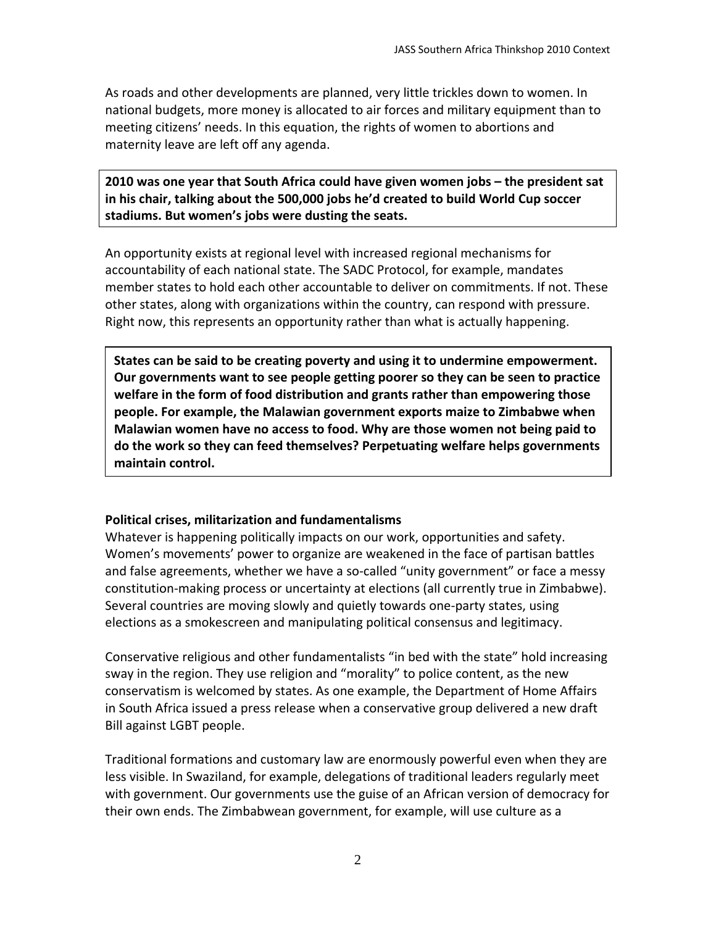As roads and other developments are planned, very little trickles down to women. In national budgets, more money is allocated to air forces and military equipment than to meeting citizens' needs. In this equation, the rights of women to abortions and maternity leave are left off any agenda.

**2010 was one year that South Africa could have given women jobs – the president sat in his chair, talking about the 500,000 jobs he'd created to build World Cup soccer stadiums. But women's jobs were dusting the seats.** 

An opportunity exists at regional level with increased regional mechanisms for accountability of each national state. The SADC Protocol, for example, mandates member states to hold each other accountable to deliver on commitments. If not. These other states, along with organizations within the country, can respond with pressure. Right now, this represents an opportunity rather than what is actually happening.

**States can be said to be creating poverty and using it to undermine empowerment. Our governments want to see people getting poorer so they can be seen to practice welfare in the form of food distribution and grants rather than empowering those people. For example, the Malawian government exports maize to Zimbabwe when Malawian women have no access to food. Why are those women not being paid to do the work so they can feed themselves? Perpetuating welfare helps governments maintain control.** 

#### **Political crises, militarization and fundamentalisms**

Whatever is happening politically impacts on our work, opportunities and safety. Women's movements' power to organize are weakened in the face of partisan battles and false agreements, whether we have a so-called "unity government" or face a messy constitution-making process or uncertainty at elections (all currently true in Zimbabwe). Several countries are moving slowly and quietly towards one-party states, using elections as a smokescreen and manipulating political consensus and legitimacy.

Conservative religious and other fundamentalists "in bed with the state" hold increasing sway in the region. They use religion and "morality" to police content, as the new conservatism is welcomed by states. As one example, the Department of Home Affairs in South Africa issued a press release when a conservative group delivered a new draft Bill against LGBT people.

Traditional formations and customary law are enormously powerful even when they are less visible. In Swaziland, for example, delegations of traditional leaders regularly meet with government. Our governments use the guise of an African version of democracy for their own ends. The Zimbabwean government, for example, will use culture as a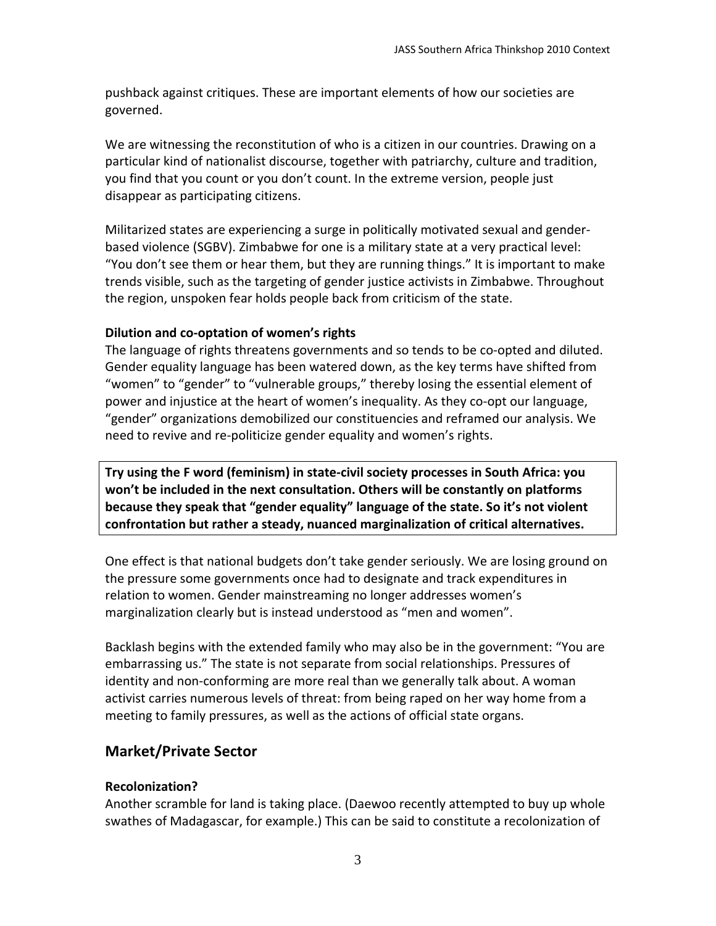pushback against critiques. These are important elements of how our societies are governed.

We are witnessing the reconstitution of who is a citizen in our countries. Drawing on a particular kind of nationalist discourse, together with patriarchy, culture and tradition, you find that you count or you don't count. In the extreme version, people just disappear as participating citizens.

Militarized states are experiencing a surge in politically motivated sexual and genderbased violence (SGBV). Zimbabwe for one is a military state at a very practical level: "You don't see them or hear them, but they are running things." It is important to make trends visible, such as the targeting of gender justice activists in Zimbabwe. Throughout the region, unspoken fear holds people back from criticism of the state.

### **Dilution and co-optation of women's rights**

The language of rights threatens governments and so tends to be co-opted and diluted. Gender equality language has been watered down, as the key terms have shifted from "women" to "gender" to "vulnerable groups," thereby losing the essential element of power and injustice at the heart of women's inequality. As they co-opt our language, "gender" organizations demobilized our constituencies and reframed our analysis. We need to revive and re-politicize gender equality and women's rights.

**Try using the F word (feminism) in state-civil society processes in South Africa: you won't be included in the next consultation. Others will be constantly on platforms because they speak that "gender equality" language of the state. So it's not violent confrontation but rather a steady, nuanced marginalization of critical alternatives.**

One effect is that national budgets don't take gender seriously. We are losing ground on the pressure some governments once had to designate and track expenditures in relation to women. Gender mainstreaming no longer addresses women's marginalization clearly but is instead understood as "men and women".

Backlash begins with the extended family who may also be in the government: "You are embarrassing us." The state is not separate from social relationships. Pressures of identity and non-conforming are more real than we generally talk about. A woman activist carries numerous levels of threat: from being raped on her way home from a meeting to family pressures, as well as the actions of official state organs.

# **Market/Private Sector**

## **Recolonization?**

Another scramble for land is taking place. (Daewoo recently attempted to buy up whole swathes of Madagascar, for example.) This can be said to constitute a recolonization of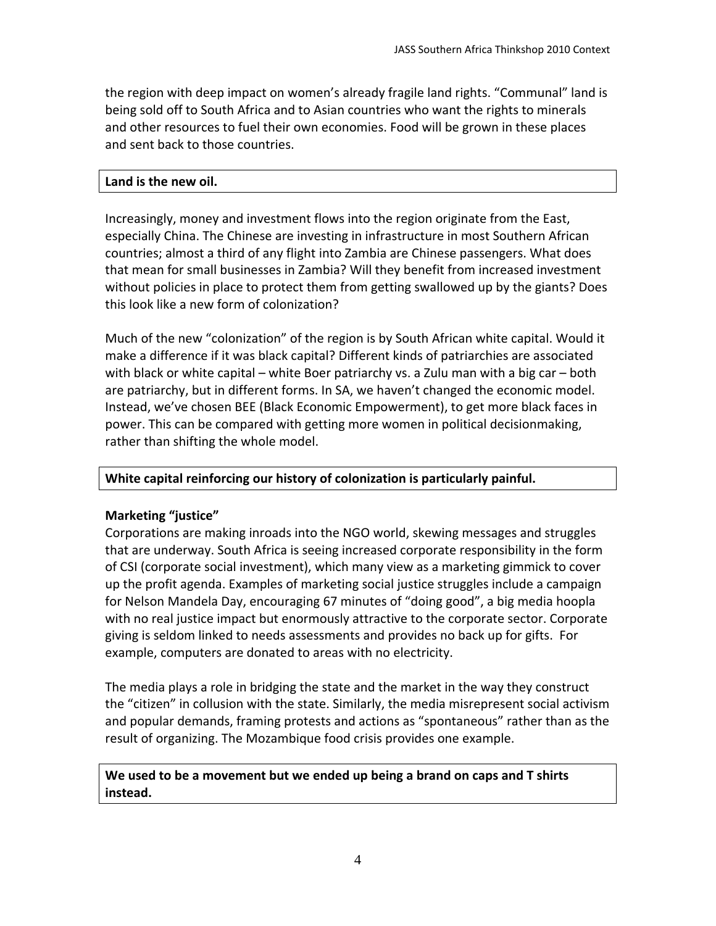the region with deep impact on women's already fragile land rights. "Communal" land is being sold off to South Africa and to Asian countries who want the rights to minerals and other resources to fuel their own economies. Food will be grown in these places and sent back to those countries.

#### **Land is the new oil.**

Increasingly, money and investment flows into the region originate from the East, especially China. The Chinese are investing in infrastructure in most Southern African countries; almost a third of any flight into Zambia are Chinese passengers. What does that mean for small businesses in Zambia? Will they benefit from increased investment without policies in place to protect them from getting swallowed up by the giants? Does this look like a new form of colonization?

Much of the new "colonization" of the region is by South African white capital. Would it make a difference if it was black capital? Different kinds of patriarchies are associated with black or white capital – white Boer patriarchy vs. a Zulu man with a big car – both are patriarchy, but in different forms. In SA, we haven't changed the economic model. Instead, we've chosen BEE (Black Economic Empowerment), to get more black faces in power. This can be compared with getting more women in political decisionmaking, rather than shifting the whole model.

#### **White capital reinforcing our history of colonization is particularly painful.**

### **Marketing "justice"**

Corporations are making inroads into the NGO world, skewing messages and struggles that are underway. South Africa is seeing increased corporate responsibility in the form of CSI (corporate social investment), which many view as a marketing gimmick to cover up the profit agenda. Examples of marketing social justice struggles include a campaign for Nelson Mandela Day, encouraging 67 minutes of "doing good", a big media hoopla with no real justice impact but enormously attractive to the corporate sector. Corporate giving is seldom linked to needs assessments and provides no back up for gifts. For example, computers are donated to areas with no electricity.

The media plays a role in bridging the state and the market in the way they construct the "citizen" in collusion with the state. Similarly, the media misrepresent social activism and popular demands, framing protests and actions as "spontaneous" rather than as the result of organizing. The Mozambique food crisis provides one example.

### **We used to be a movement but we ended up being a brand on caps and T shirts instead.**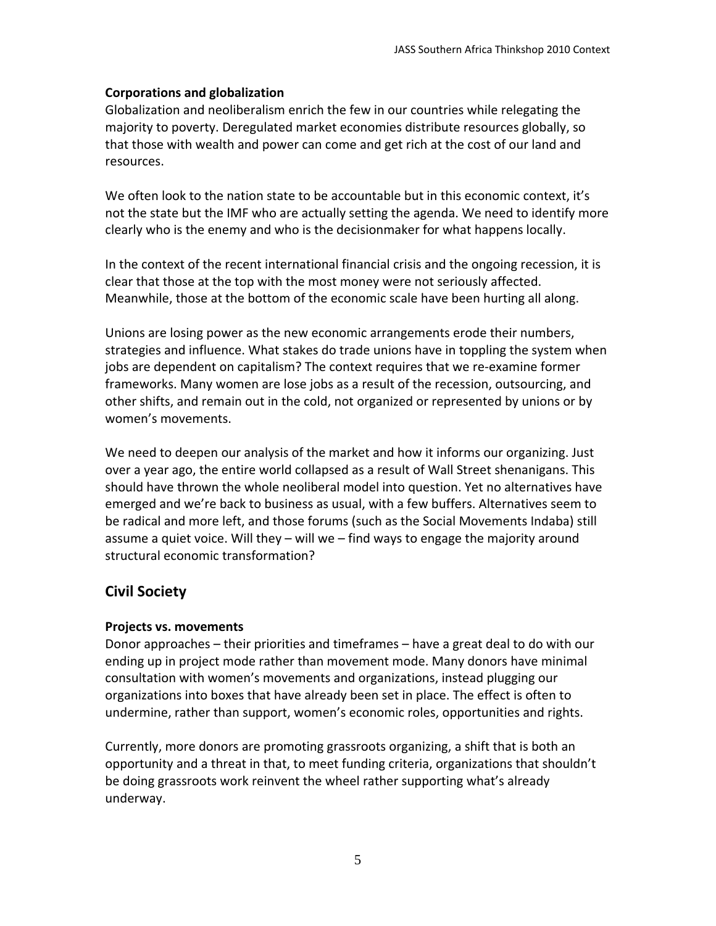### **Corporations and globalization**

Globalization and neoliberalism enrich the few in our countries while relegating the majority to poverty. Deregulated market economies distribute resources globally, so that those with wealth and power can come and get rich at the cost of our land and resources.

We often look to the nation state to be accountable but in this economic context, it's not the state but the IMF who are actually setting the agenda. We need to identify more clearly who is the enemy and who is the decisionmaker for what happens locally.

In the context of the recent international financial crisis and the ongoing recession, it is clear that those at the top with the most money were not seriously affected. Meanwhile, those at the bottom of the economic scale have been hurting all along.

Unions are losing power as the new economic arrangements erode their numbers, strategies and influence. What stakes do trade unions have in toppling the system when jobs are dependent on capitalism? The context requires that we re-examine former frameworks. Many women are lose jobs as a result of the recession, outsourcing, and other shifts, and remain out in the cold, not organized or represented by unions or by women's movements.

We need to deepen our analysis of the market and how it informs our organizing. Just over a year ago, the entire world collapsed as a result of Wall Street shenanigans. This should have thrown the whole neoliberal model into question. Yet no alternatives have emerged and we're back to business as usual, with a few buffers. Alternatives seem to be radical and more left, and those forums (such as the Social Movements Indaba) still assume a quiet voice. Will they – will we – find ways to engage the majority around structural economic transformation?

## **Civil Society**

#### **Projects vs. movements**

Donor approaches – their priorities and timeframes – have a great deal to do with our ending up in project mode rather than movement mode. Many donors have minimal consultation with women's movements and organizations, instead plugging our organizations into boxes that have already been set in place. The effect is often to undermine, rather than support, women's economic roles, opportunities and rights.

Currently, more donors are promoting grassroots organizing, a shift that is both an opportunity and a threat in that, to meet funding criteria, organizations that shouldn't be doing grassroots work reinvent the wheel rather supporting what's already underway.